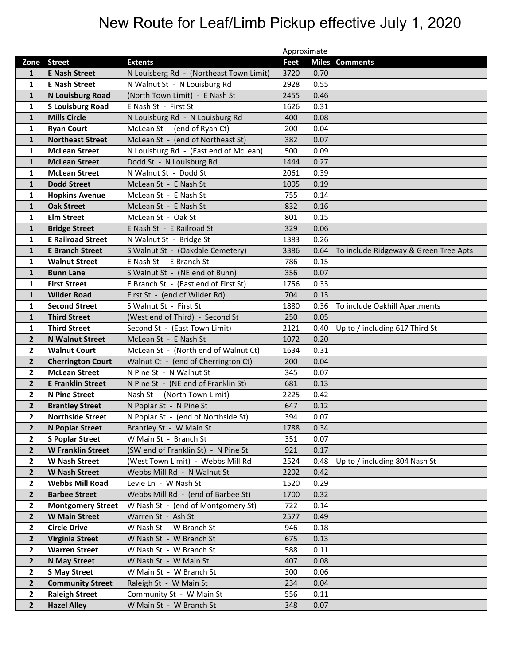## New Route for Leaf/Limb Pickup effective July 1, 2020

|                         |                          |                                         | Approximate |      |                                       |
|-------------------------|--------------------------|-----------------------------------------|-------------|------|---------------------------------------|
|                         | Zone Street              | <b>Extents</b>                          | Feet        |      | <b>Miles Comments</b>                 |
| $\mathbf{1}$            | <b>E Nash Street</b>     | N Louisberg Rd - (Northeast Town Limit) | 3720        | 0.70 |                                       |
| $\mathbf{1}$            | <b>E Nash Street</b>     | N Walnut St - N Louisburg Rd            | 2928        | 0.55 |                                       |
| $\mathbf{1}$            | <b>N Louisburg Road</b>  | (North Town Limit) - E Nash St          | 2455        | 0.46 |                                       |
| 1                       | <b>S Louisburg Road</b>  | E Nash St - First St                    | 1626        | 0.31 |                                       |
| $\mathbf{1}$            | <b>Mills Circle</b>      | N Louisburg Rd - N Louisburg Rd         | 400         | 0.08 |                                       |
| $\mathbf{1}$            | <b>Ryan Court</b>        | McLean St - (end of Ryan Ct)            | 200         | 0.04 |                                       |
| $\mathbf{1}$            | <b>Northeast Street</b>  | McLean St - (end of Northeast St)       | 382         | 0.07 |                                       |
| $\mathbf{1}$            | <b>McLean Street</b>     | N Louisburg Rd - (East end of McLean)   | 500         | 0.09 |                                       |
| $\mathbf{1}$            | <b>McLean Street</b>     | Dodd St - N Louisburg Rd                | 1444        | 0.27 |                                       |
| $\mathbf{1}$            | <b>McLean Street</b>     | N Walnut St - Dodd St                   | 2061        | 0.39 |                                       |
| $\mathbf{1}$            | <b>Dodd Street</b>       | McLean St - E Nash St                   | 1005        | 0.19 |                                       |
| 1                       | <b>Hopkins Avenue</b>    | McLean St - E Nash St                   | 755         | 0.14 |                                       |
| $\mathbf{1}$            | <b>Oak Street</b>        | McLean St - E Nash St                   | 832         | 0.16 |                                       |
| 1                       | <b>Elm Street</b>        | McLean St - Oak St                      | 801         | 0.15 |                                       |
| $\mathbf{1}$            | <b>Bridge Street</b>     | E Nash St - E Railroad St               | 329         | 0.06 |                                       |
| $\mathbf{1}$            | <b>E Railroad Street</b> | N Walnut St - Bridge St                 | 1383        | 0.26 |                                       |
| $\mathbf{1}$            | <b>E Branch Street</b>   | S Walnut St - (Oakdale Cemetery)        | 3386        | 0.64 | To include Ridgeway & Green Tree Apts |
| 1                       | <b>Walnut Street</b>     | E Nash St - E Branch St                 | 786         | 0.15 |                                       |
| $\mathbf{1}$            | <b>Bunn Lane</b>         | S Walnut St - (NE end of Bunn)          | 356         | 0.07 |                                       |
| $\mathbf{1}$            | <b>First Street</b>      | E Branch St - (East end of First St)    | 1756        | 0.33 |                                       |
| $\mathbf{1}$            | <b>Wilder Road</b>       | First St - (end of Wilder Rd)           | 704         | 0.13 |                                       |
| 1                       | <b>Second Street</b>     | S Walnut St - First St                  | 1880        | 0.36 | To include Oakhill Apartments         |
| $\mathbf{1}$            | <b>Third Street</b>      | (West end of Third) - Second St         | 250         | 0.05 |                                       |
| 1                       | <b>Third Street</b>      | Second St - (East Town Limit)           | 2121        | 0.40 | Up to / including 617 Third St        |
| $\mathbf{2}$            | <b>N Walnut Street</b>   | McLean St - E Nash St                   | 1072        | 0.20 |                                       |
| $\overline{2}$          | <b>Walnut Court</b>      | McLean St - (North end of Walnut Ct)    | 1634        | 0.31 |                                       |
| $\overline{2}$          | <b>Cherrington Court</b> | Walnut Ct - (end of Cherrington Ct)     | 200         | 0.04 |                                       |
| $\overline{2}$          | <b>McLean Street</b>     | N Pine St - N Walnut St                 | 345         | 0.07 |                                       |
| $\mathbf{2}$            | <b>E Franklin Street</b> | N Pine St - (NE end of Franklin St)     | 681         | 0.13 |                                       |
| $\overline{2}$          | <b>N Pine Street</b>     | Nash St - (North Town Limit)            | 2225        | 0.42 |                                       |
| $\overline{2}$          | <b>Brantley Street</b>   | N Poplar St - N Pine St                 | 647         | 0.12 |                                       |
| $\mathbf{2}$            | <b>Northside Street</b>  | N Poplar St - (end of Northside St)     | 394         | 0.07 |                                       |
| $\mathbf{2}$            | <b>N Poplar Street</b>   | Brantley St - W Main St                 | 1788        | 0.34 |                                       |
| $\overline{2}$          | <b>S Poplar Street</b>   | W Main St - Branch St                   | 351         | 0.07 |                                       |
| $\overline{2}$          | <b>W Franklin Street</b> | (SW end of Franklin St) - N Pine St     | 921         | 0.17 |                                       |
| $\overline{2}$          | <b>W Nash Street</b>     | (West Town Limit) - Webbs Mill Rd       | 2524        | 0.48 | Up to / including 804 Nash St         |
| $\overline{2}$          | <b>W Nash Street</b>     | Webbs Mill Rd - N Walnut St             | 2202        | 0.42 |                                       |
| $\overline{2}$          | <b>Webbs Mill Road</b>   | Levie Ln - W Nash St                    | 1520        | 0.29 |                                       |
| $\mathbf{2}$            | <b>Barbee Street</b>     | Webbs Mill Rd - (end of Barbee St)      | 1700        | 0.32 |                                       |
| $\overline{2}$          | <b>Montgomery Street</b> | W Nash St - (end of Montgomery St)      | 722         | 0.14 |                                       |
| $\overline{2}$          | <b>W Main Street</b>     | Warren St - Ash St                      | 2577        | 0.49 |                                       |
| $\overline{\mathbf{2}}$ | <b>Circle Drive</b>      | W Nash St - W Branch St                 | 946         | 0.18 |                                       |
| $\overline{2}$          | <b>Virginia Street</b>   | W Nash St - W Branch St                 | 675         | 0.13 |                                       |
| $\overline{2}$          | <b>Warren Street</b>     | W Nash St - W Branch St                 | 588         | 0.11 |                                       |
| $\overline{2}$          | <b>N May Street</b>      | W Nash St - W Main St                   | 407         | 0.08 |                                       |
| $\overline{2}$          | <b>S May Street</b>      | W Main St - W Branch St                 | 300         | 0.06 |                                       |
| $\overline{2}$          | <b>Community Street</b>  | Raleigh St - W Main St                  | 234         | 0.04 |                                       |
| $\overline{2}$          | <b>Raleigh Street</b>    | Community St - W Main St                | 556         | 0.11 |                                       |
| $\overline{2}$          | <b>Hazel Alley</b>       | W Main St - W Branch St                 | 348         | 0.07 |                                       |